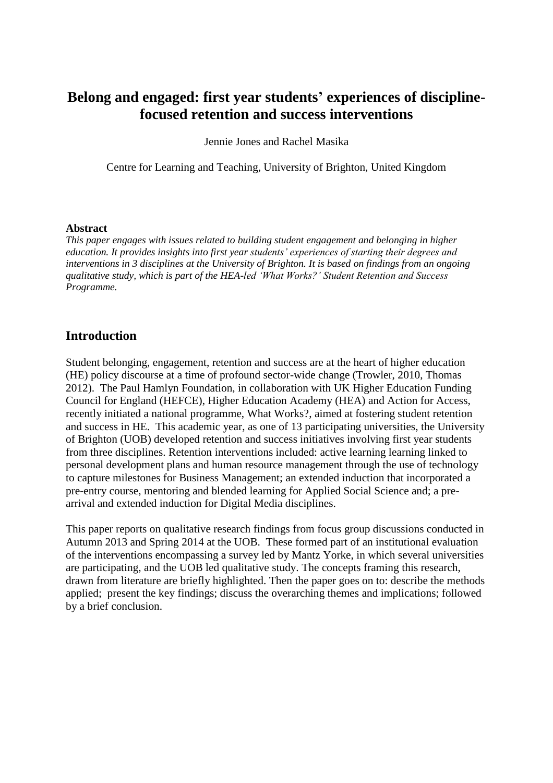# **Belong and engaged: first year students' experiences of disciplinefocused retention and success interventions**

Jennie Jones and Rachel Masika

Centre for Learning and Teaching, University of Brighton, United Kingdom

#### **Abstract**

*This paper engages with issues related to building student engagement and belonging in higher education. It provides insights into first year students' experiences of starting their degrees and interventions in 3 disciplines at the University of Brighton. It is based on findings from an ongoing qualitative study, which is part of the HEA-led 'What Works?' Student Retention and Success Programme.*

### **Introduction**

Student belonging, engagement, retention and success are at the heart of higher education (HE) policy discourse at a time of profound sector-wide change (Trowler, 2010, Thomas 2012). The Paul Hamlyn Foundation, in collaboration with UK Higher Education Funding Council for England (HEFCE), Higher Education Academy (HEA) and Action for Access, recently initiated a national programme, What Works?, aimed at fostering student retention and success in HE. This academic year, as one of 13 participating universities, the University of Brighton (UOB) developed retention and success initiatives involving first year students from three disciplines. Retention interventions included: active learning learning linked to personal development plans and human resource management through the use of technology to capture milestones for Business Management; an extended induction that incorporated a pre-entry course, mentoring and blended learning for Applied Social Science and; a prearrival and extended induction for Digital Media disciplines.

This paper reports on qualitative research findings from focus group discussions conducted in Autumn 2013 and Spring 2014 at the UOB. These formed part of an institutional evaluation of the interventions encompassing a survey led by Mantz Yorke, in which several universities are participating, and the UOB led qualitative study. The concepts framing this research, drawn from literature are briefly highlighted. Then the paper goes on to: describe the methods applied; present the key findings; discuss the overarching themes and implications; followed by a brief conclusion.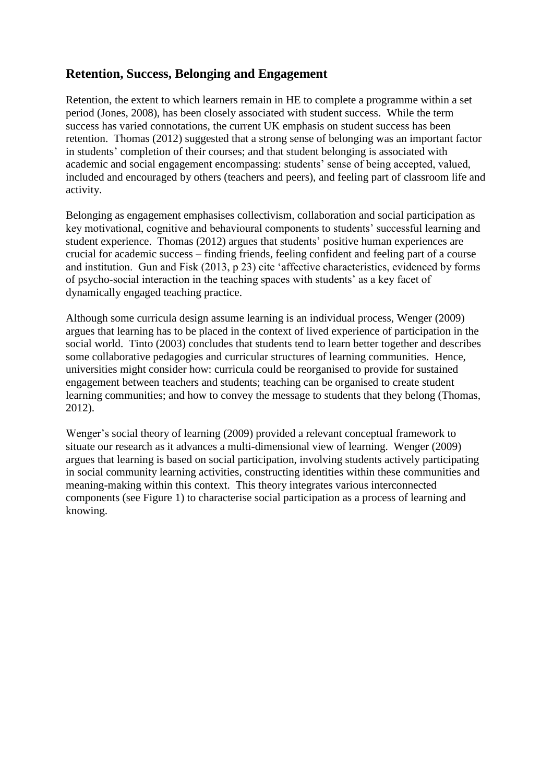## **Retention, Success, Belonging and Engagement**

Retention, the extent to which learners remain in HE to complete a programme within a set period (Jones, 2008), has been closely associated with student success. While the term success has varied connotations, the current UK emphasis on student success has been retention. Thomas (2012) suggested that a strong sense of belonging was an important factor in students' completion of their courses; and that student belonging is associated with academic and social engagement encompassing: students' sense of being accepted, valued, included and encouraged by others (teachers and peers), and feeling part of classroom life and activity.

Belonging as engagement emphasises collectivism, collaboration and social participation as key motivational, cognitive and behavioural components to students' successful learning and student experience. Thomas (2012) argues that students' positive human experiences are crucial for academic success – finding friends, feeling confident and feeling part of a course and institution. Gun and Fisk (2013, p 23) cite 'affective characteristics, evidenced by forms of psycho-social interaction in the teaching spaces with students' as a key facet of dynamically engaged teaching practice.

Although some curricula design assume learning is an individual process, Wenger (2009) argues that learning has to be placed in the context of lived experience of participation in the social world. Tinto (2003) concludes that students tend to learn better together and describes some collaborative pedagogies and curricular structures of learning communities. Hence, universities might consider how: curricula could be reorganised to provide for sustained engagement between teachers and students; teaching can be organised to create student learning communities; and how to convey the message to students that they belong (Thomas, 2012).

Wenger's social theory of learning (2009) provided a relevant conceptual framework to situate our research as it advances a multi-dimensional view of learning. Wenger (2009) argues that learning is based on social participation, involving students actively participating in social community learning activities, constructing identities within these communities and meaning-making within this context. This theory integrates various interconnected components (see Figure 1) to characterise social participation as a process of learning and knowing.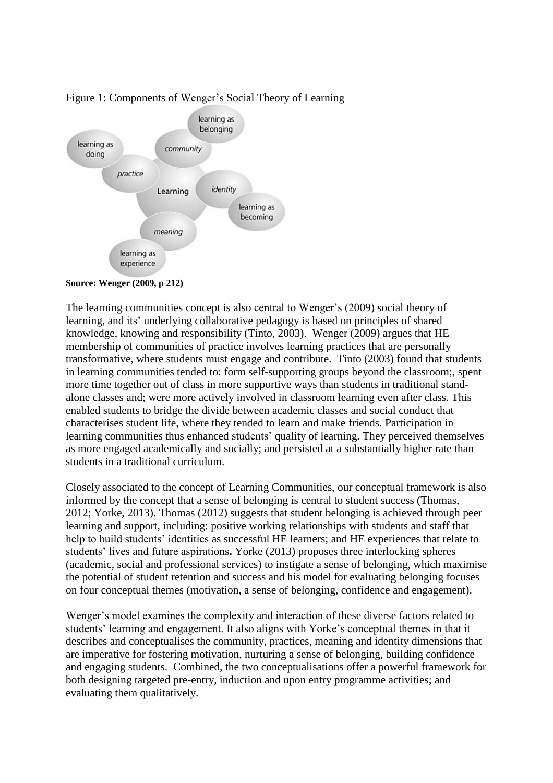

### Figure 1: Components of Wenger's Social Theory of Learning

The learning communities concept is also central to Wenger's (2009) social theory of learning, and its' underlying collaborative pedagogy is based on principles of shared knowledge, knowing and responsibility (Tinto, 2003). Wenger (2009) argues that HE membership of communities of practice involves learning practices that are personally transformative, where students must engage and contribute. Tinto (2003) found that students in learning communities tended to: form self-supporting groups beyond the classroom;, spent more time together out of class in more supportive ways than students in traditional standalone classes and; were more actively involved in classroom learning even after class. This enabled students to bridge the divide between academic classes and social conduct that characterises student life, where they tended to learn and make friends. Participation in learning communities thus enhanced students' quality of learning. They perceived themselves as more engaged academically and socially; and persisted at a substantially higher rate than students in a traditional curriculum.

Closely associated to the concept of Learning Communities, our conceptual framework is also informed by the concept that a sense of belonging is central to student success (Thomas, 2012; Yorke, 2013). Thomas (2012) suggests that student belonging is achieved through peer learning and support, including: positive working relationships with students and staff that help to build students' identities as successful HE learners; and HE experiences that relate to students' lives and future aspirations**.** Yorke (2013) proposes three interlocking spheres (academic, social and professional services) to instigate a sense of belonging, which maximise the potential of student retention and success and his model for evaluating belonging focuses on four conceptual themes (motivation, a sense of belonging, confidence and engagement).

Wenger's model examines the complexity and interaction of these diverse factors related to students' learning and engagement. It also aligns with Yorke's conceptual themes in that it describes and conceptualises the community, practices, meaning and identity dimensions that are imperative for fostering motivation, nurturing a sense of belonging, building confidence and engaging students. Combined, the two conceptualisations offer a powerful framework for both designing targeted pre-entry, induction and upon entry programme activities; and evaluating them qualitatively.

**Source: Wenger (2009, p 212)**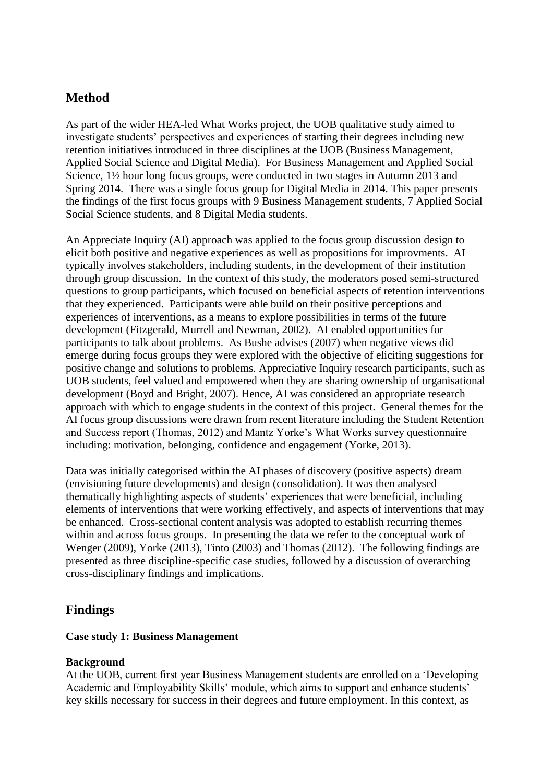## **Method**

As part of the wider HEA-led What Works project, the UOB qualitative study aimed to investigate students' perspectives and experiences of starting their degrees including new retention initiatives introduced in three disciplines at the UOB (Business Management, Applied Social Science and Digital Media). For Business Management and Applied Social Science, 1½ hour long focus groups, were conducted in two stages in Autumn 2013 and Spring 2014. There was a single focus group for Digital Media in 2014. This paper presents the findings of the first focus groups with 9 Business Management students, 7 Applied Social Social Science students, and 8 Digital Media students.

An Appreciate Inquiry (AI) approach was applied to the focus group discussion design to elicit both positive and negative experiences as well as propositions for improvments. AI typically involves stakeholders, including students, in the development of their institution through group discussion. In the context of this study, the moderators posed semi-structured questions to group participants, which focused on beneficial aspects of retention interventions that they experienced. Participants were able build on their positive perceptions and experiences of interventions, as a means to explore possibilities in terms of the future development (Fitzgerald, Murrell and Newman, 2002). AI enabled opportunities for participants to talk about problems. As Bushe advises (2007) when negative views did emerge during focus groups they were explored with the objective of eliciting suggestions for positive change and solutions to problems. Appreciative Inquiry research participants, such as UOB students, feel valued and empowered when they are sharing ownership of organisational development (Boyd and Bright, 2007). Hence, AI was considered an appropriate research approach with which to engage students in the context of this project. General themes for the AI focus group discussions were drawn from recent literature including the Student Retention and Success report (Thomas, 2012) and Mantz Yorke's What Works survey questionnaire including: motivation, belonging, confidence and engagement (Yorke, 2013).

Data was initially categorised within the AI phases of discovery (positive aspects) dream (envisioning future developments) and design (consolidation). It was then analysed thematically highlighting aspects of students' experiences that were beneficial, including elements of interventions that were working effectively, and aspects of interventions that may be enhanced. Cross-sectional content analysis was adopted to establish recurring themes within and across focus groups. In presenting the data we refer to the conceptual work of Wenger (2009), Yorke (2013), Tinto (2003) and Thomas (2012). The following findings are presented as three discipline-specific case studies, followed by a discussion of overarching cross-disciplinary findings and implications.

## **Findings**

### **Case study 1: Business Management**

### **Background**

At the UOB, current first year Business Management students are enrolled on a 'Developing Academic and Employability Skills' module, which aims to support and enhance students' key skills necessary for success in their degrees and future employment. In this context, as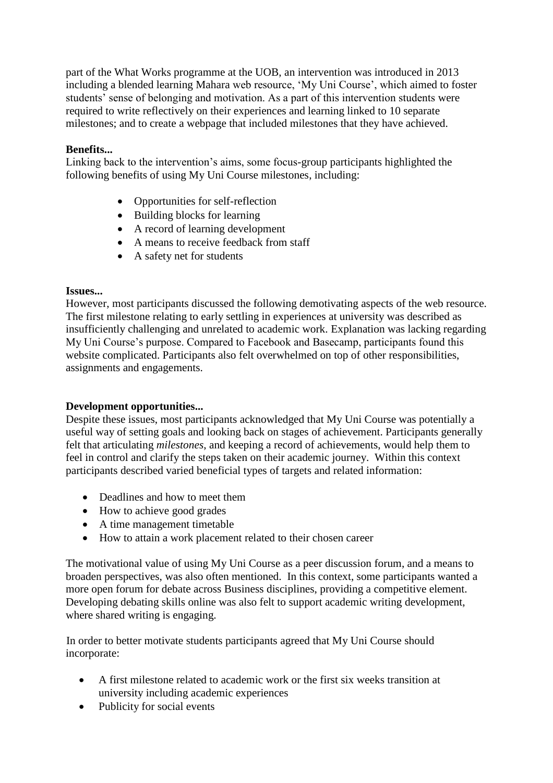part of the What Works programme at the UOB, an intervention was introduced in 2013 including a blended learning Mahara web resource, 'My Uni Course', which aimed to foster students' sense of belonging and motivation. As a part of this intervention students were required to write reflectively on their experiences and learning linked to 10 separate milestones; and to create a webpage that included milestones that they have achieved.

### **Benefits...**

Linking back to the intervention's aims, some focus-group participants highlighted the following benefits of using My Uni Course milestones, including:

- Opportunities for self-reflection
- Building blocks for learning
- A record of learning development
- A means to receive feedback from staff
- A safety net for students

### **Issues...**

However, most participants discussed the following demotivating aspects of the web resource. The first milestone relating to early settling in experiences at university was described as insufficiently challenging and unrelated to academic work. Explanation was lacking regarding My Uni Course's purpose. Compared to Facebook and Basecamp, participants found this website complicated. Participants also felt overwhelmed on top of other responsibilities, assignments and engagements.

### **Development opportunities...**

Despite these issues, most participants acknowledged that My Uni Course was potentially a useful way of setting goals and looking back on stages of achievement. Participants generally felt that articulating *milestones*, and keeping a record of achievements, would help them to feel in control and clarify the steps taken on their academic journey. Within this context participants described varied beneficial types of targets and related information:

- Deadlines and how to meet them
- How to achieve good grades
- A time management timetable
- How to attain a work placement related to their chosen career

The motivational value of using My Uni Course as a peer discussion forum, and a means to broaden perspectives, was also often mentioned. In this context, some participants wanted a more open forum for debate across Business disciplines, providing a competitive element. Developing debating skills online was also felt to support academic writing development, where shared writing is engaging.

In order to better motivate students participants agreed that My Uni Course should incorporate:

- A first milestone related to academic work or the first six weeks transition at university including academic experiences
- Publicity for social events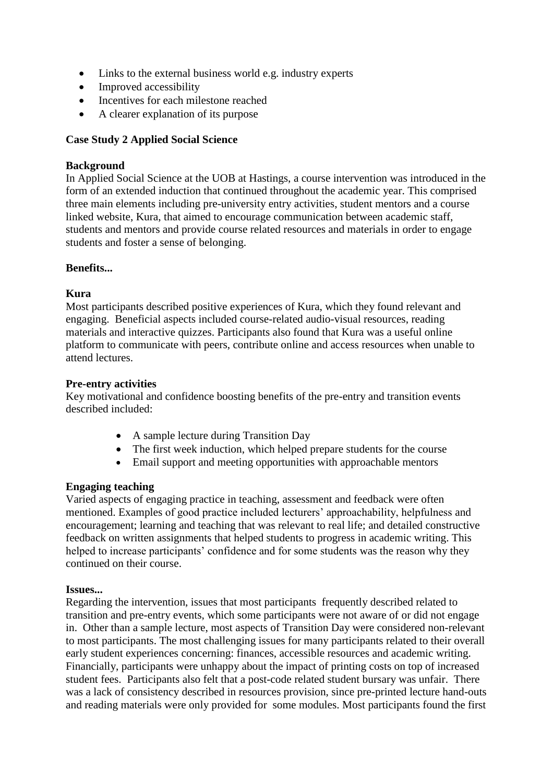- Links to the external business world e.g. industry experts
- Improved accessibility
- Incentives for each milestone reached
- A clearer explanation of its purpose

### **Case Study 2 Applied Social Science**

### **Background**

In Applied Social Science at the UOB at Hastings, a course intervention was introduced in the form of an extended induction that continued throughout the academic year. This comprised three main elements including pre-university entry activities, student mentors and a course linked website, Kura, that aimed to encourage communication between academic staff, students and mentors and provide course related resources and materials in order to engage students and foster a sense of belonging.

### **Benefits...**

### **Kura**

Most participants described positive experiences of Kura, which they found relevant and engaging. Beneficial aspects included course-related audio-visual resources, reading materials and interactive quizzes. Participants also found that Kura was a useful online platform to communicate with peers, contribute online and access resources when unable to attend lectures.

### **Pre-entry activities**

Key motivational and confidence boosting benefits of the pre-entry and transition events described included:

- A sample lecture during Transition Day
- The first week induction, which helped prepare students for the course
- Email support and meeting opportunities with approachable mentors

### **Engaging teaching**

Varied aspects of engaging practice in teaching, assessment and feedback were often mentioned. Examples of good practice included lecturers' approachability, helpfulness and encouragement; learning and teaching that was relevant to real life; and detailed constructive feedback on written assignments that helped students to progress in academic writing. This helped to increase participants' confidence and for some students was the reason why they continued on their course.

#### **Issues...**

Regarding the intervention, issues that most participants frequently described related to transition and pre-entry events, which some participants were not aware of or did not engage in. Other than a sample lecture, most aspects of Transition Day were considered non-relevant to most participants. The most challenging issues for many participants related to their overall early student experiences concerning: finances, accessible resources and academic writing. Financially, participants were unhappy about the impact of printing costs on top of increased student fees. Participants also felt that a post-code related student bursary was unfair. There was a lack of consistency described in resources provision, since pre-printed lecture hand-outs and reading materials were only provided for some modules. Most participants found the first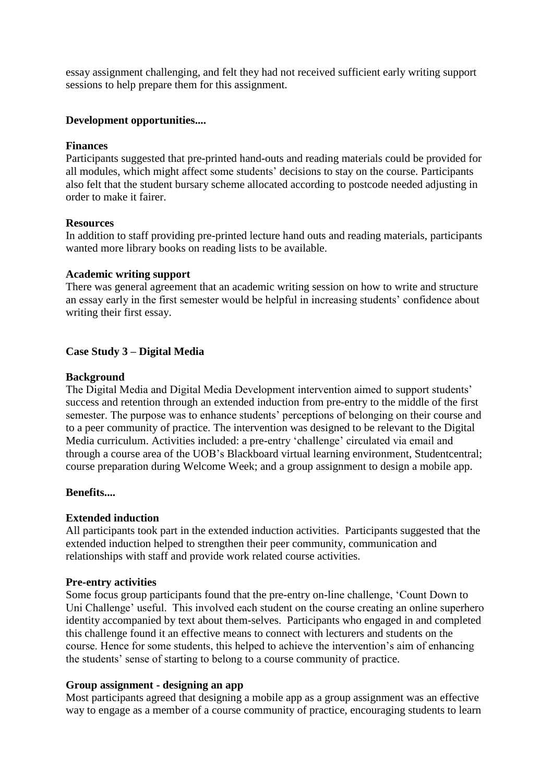essay assignment challenging, and felt they had not received sufficient early writing support sessions to help prepare them for this assignment.

#### **Development opportunities....**

#### **Finances**

Participants suggested that pre-printed hand-outs and reading materials could be provided for all modules, which might affect some students' decisions to stay on the course. Participants also felt that the student bursary scheme allocated according to postcode needed adjusting in order to make it fairer.

#### **Resources**

In addition to staff providing pre-printed lecture hand outs and reading materials, participants wanted more library books on reading lists to be available.

#### **Academic writing support**

There was general agreement that an academic writing session on how to write and structure an essay early in the first semester would be helpful in increasing students' confidence about writing their first essay.

#### **Case Study 3 – Digital Media**

#### **Background**

The Digital Media and Digital Media Development intervention aimed to support students' success and retention through an extended induction from pre-entry to the middle of the first semester. The purpose was to enhance students' perceptions of belonging on their course and to a peer community of practice. The intervention was designed to be relevant to the Digital Media curriculum. Activities included: a pre-entry 'challenge' circulated via email and through a course area of the UOB's Blackboard virtual learning environment, Studentcentral; course preparation during Welcome Week; and a group assignment to design a mobile app.

#### **Benefits....**

#### **Extended induction**

All participants took part in the extended induction activities. Participants suggested that the extended induction helped to strengthen their peer community, communication and relationships with staff and provide work related course activities.

#### **Pre-entry activities**

Some focus group participants found that the pre-entry on-line challenge, 'Count Down to Uni Challenge' useful. This involved each student on the course creating an online superhero identity accompanied by text about them-selves. Participants who engaged in and completed this challenge found it an effective means to connect with lecturers and students on the course. Hence for some students, this helped to achieve the intervention's aim of enhancing the students' sense of starting to belong to a course community of practice.

#### **Group assignment - designing an app**

Most participants agreed that designing a mobile app as a group assignment was an effective way to engage as a member of a course community of practice, encouraging students to learn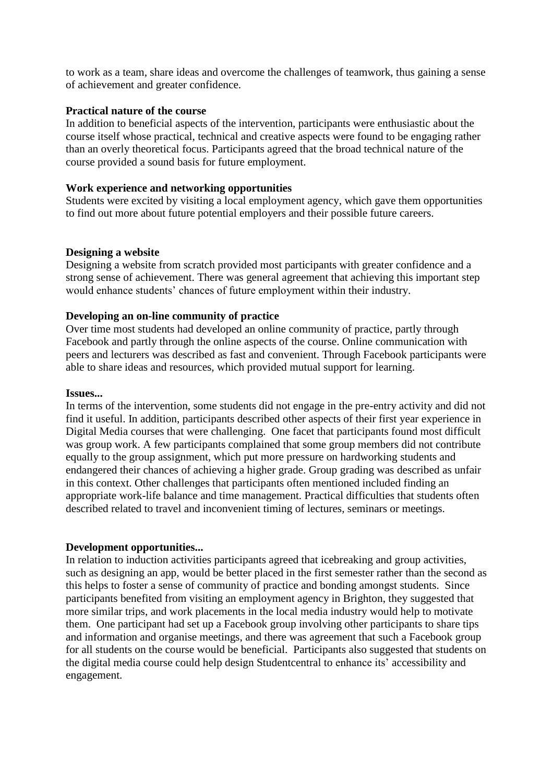to work as a team, share ideas and overcome the challenges of teamwork, thus gaining a sense of achievement and greater confidence.

#### **Practical nature of the course**

In addition to beneficial aspects of the intervention, participants were enthusiastic about the course itself whose practical, technical and creative aspects were found to be engaging rather than an overly theoretical focus. Participants agreed that the broad technical nature of the course provided a sound basis for future employment.

#### **Work experience and networking opportunities**

Students were excited by visiting a local employment agency, which gave them opportunities to find out more about future potential employers and their possible future careers.

#### **Designing a website**

Designing a website from scratch provided most participants with greater confidence and a strong sense of achievement. There was general agreement that achieving this important step would enhance students' chances of future employment within their industry.

#### **Developing an on-line community of practice**

Over time most students had developed an online community of practice, partly through Facebook and partly through the online aspects of the course. Online communication with peers and lecturers was described as fast and convenient. Through Facebook participants were able to share ideas and resources, which provided mutual support for learning.

#### **Issues...**

In terms of the intervention, some students did not engage in the pre-entry activity and did not find it useful. In addition, participants described other aspects of their first year experience in Digital Media courses that were challenging. One facet that participants found most difficult was group work. A few participants complained that some group members did not contribute equally to the group assignment, which put more pressure on hardworking students and endangered their chances of achieving a higher grade. Group grading was described as unfair in this context. Other challenges that participants often mentioned included finding an appropriate work-life balance and time management. Practical difficulties that students often described related to travel and inconvenient timing of lectures, seminars or meetings.

#### **Development opportunities...**

In relation to induction activities participants agreed that icebreaking and group activities, such as designing an app, would be better placed in the first semester rather than the second as this helps to foster a sense of community of practice and bonding amongst students. Since participants benefited from visiting an employment agency in Brighton, they suggested that more similar trips, and work placements in the local media industry would help to motivate them. One participant had set up a Facebook group involving other participants to share tips and information and organise meetings, and there was agreement that such a Facebook group for all students on the course would be beneficial. Participants also suggested that students on the digital media course could help design Studentcentral to enhance its' accessibility and engagement.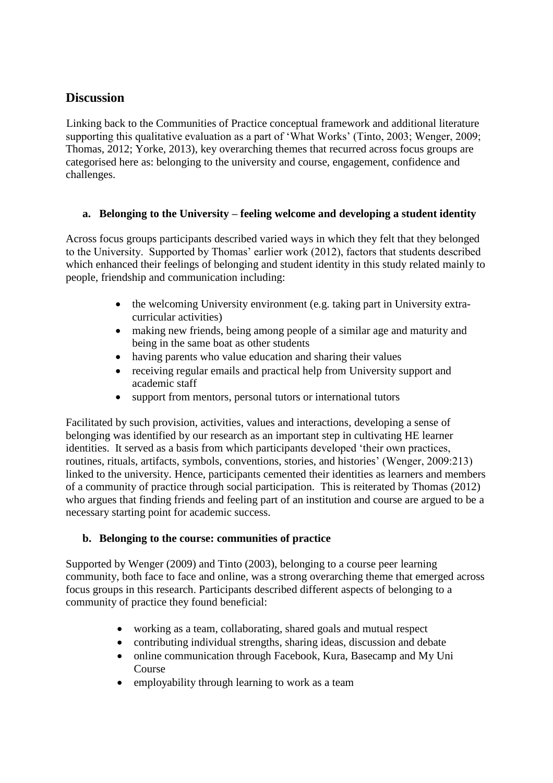## **Discussion**

Linking back to the Communities of Practice conceptual framework and additional literature supporting this qualitative evaluation as a part of 'What Works' (Tinto, 2003; Wenger, 2009; Thomas, 2012; Yorke, 2013), key overarching themes that recurred across focus groups are categorised here as: belonging to the university and course, engagement, confidence and challenges.

### **a. Belonging to the University – feeling welcome and developing a student identity**

Across focus groups participants described varied ways in which they felt that they belonged to the University. Supported by Thomas' earlier work (2012), factors that students described which enhanced their feelings of belonging and student identity in this study related mainly to people, friendship and communication including:

- the welcoming University environment (e.g. taking part in University extracurricular activities)
- making new friends, being among people of a similar age and maturity and being in the same boat as other students
- having parents who value education and sharing their values
- receiving regular emails and practical help from University support and academic staff
- support from mentors, personal tutors or international tutors

Facilitated by such provision, activities, values and interactions, developing a sense of belonging was identified by our research as an important step in cultivating HE learner identities. It served as a basis from which participants developed 'their own practices, routines, rituals, artifacts, symbols, conventions, stories, and histories' (Wenger, 2009:213) linked to the university. Hence, participants cemented their identities as learners and members of a community of practice through social participation. This is reiterated by Thomas (2012) who argues that finding friends and feeling part of an institution and course are argued to be a necessary starting point for academic success.

### **b. Belonging to the course: communities of practice**

Supported by Wenger (2009) and Tinto (2003), belonging to a course peer learning community, both face to face and online, was a strong overarching theme that emerged across focus groups in this research. Participants described different aspects of belonging to a community of practice they found beneficial:

- working as a team, collaborating, shared goals and mutual respect
- contributing individual strengths, sharing ideas, discussion and debate
- online communication through Facebook, Kura, Basecamp and My Uni Course
- employability through learning to work as a team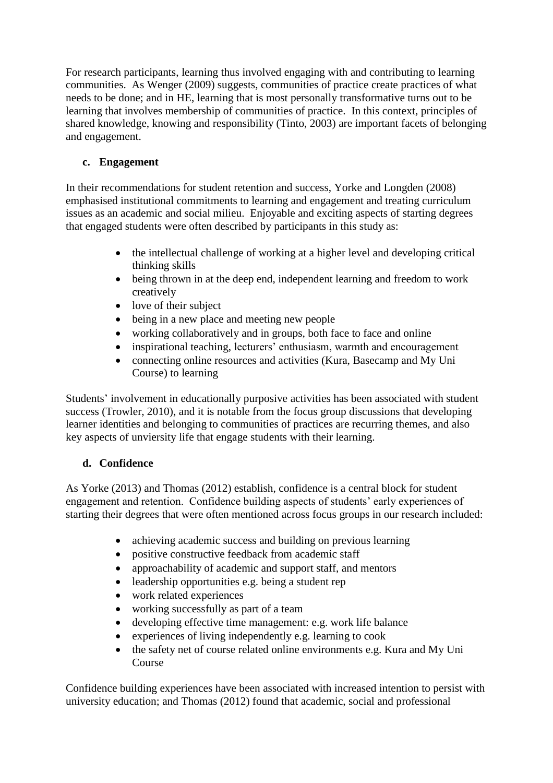For research participants, learning thus involved engaging with and contributing to learning communities. As Wenger (2009) suggests, communities of practice create practices of what needs to be done; and in HE, learning that is most personally transformative turns out to be learning that involves membership of communities of practice. In this context, principles of shared knowledge, knowing and responsibility (Tinto, 2003) are important facets of belonging and engagement.

## **c. Engagement**

In their recommendations for student retention and success, Yorke and Longden (2008) emphasised institutional commitments to learning and engagement and treating curriculum issues as an academic and social milieu. Enjoyable and exciting aspects of starting degrees that engaged students were often described by participants in this study as:

- the intellectual challenge of working at a higher level and developing critical thinking skills
- being thrown in at the deep end, independent learning and freedom to work creatively
- love of their subject
- being in a new place and meeting new people
- working collaboratively and in groups, both face to face and online
- inspirational teaching, lecturers' enthusiasm, warmth and encouragement
- connecting online resources and activities (Kura, Basecamp and My Uni Course) to learning

Students' involvement in educationally purposive activities has been associated with student success (Trowler, 2010), and it is notable from the focus group discussions that developing learner identities and belonging to communities of practices are recurring themes, and also key aspects of unviersity life that engage students with their learning.

### **d. Confidence**

As Yorke (2013) and Thomas (2012) establish, confidence is a central block for student engagement and retention. Confidence building aspects of students' early experiences of starting their degrees that were often mentioned across focus groups in our research included:

- achieving academic success and building on previous learning
- positive constructive feedback from academic staff
- approachability of academic and support staff, and mentors
- leadership opportunities e.g. being a student rep
- work related experiences
- working successfully as part of a team
- developing effective time management: e.g. work life balance
- experiences of living independently e.g. learning to cook
- the safety net of course related online environments e.g. Kura and My Uni Course

Confidence building experiences have been associated with increased intention to persist with university education; and Thomas (2012) found that academic, social and professional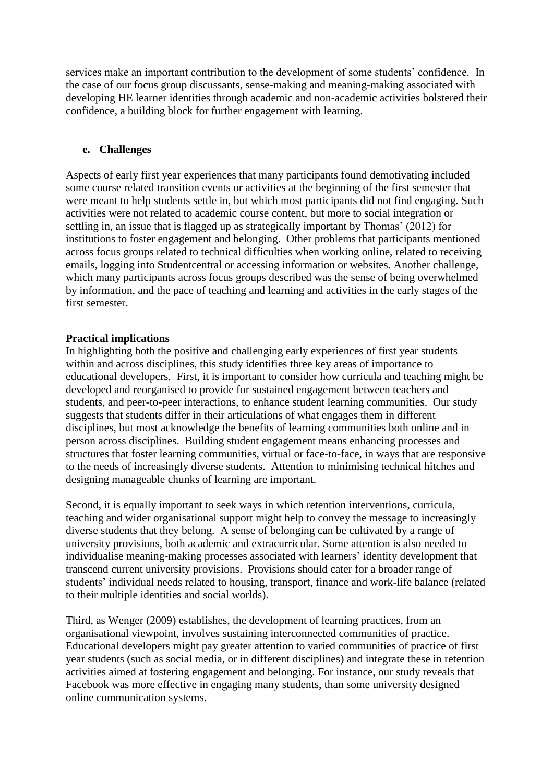services make an important contribution to the development of some students' confidence. In the case of our focus group discussants, sense-making and meaning-making associated with developing HE learner identities through academic and non-academic activities bolstered their confidence, a building block for further engagement with learning.

### **e. Challenges**

Aspects of early first year experiences that many participants found demotivating included some course related transition events or activities at the beginning of the first semester that were meant to help students settle in, but which most participants did not find engaging. Such activities were not related to academic course content, but more to social integration or settling in, an issue that is flagged up as strategically important by Thomas' (2012) for institutions to foster engagement and belonging. Other problems that participants mentioned across focus groups related to technical difficulties when working online, related to receiving emails, logging into Studentcentral or accessing information or websites. Another challenge, which many participants across focus groups described was the sense of being overwhelmed by information, and the pace of teaching and learning and activities in the early stages of the first semester.

### **Practical implications**

In highlighting both the positive and challenging early experiences of first year students within and across disciplines, this study identifies three key areas of importance to educational developers. First, it is important to consider how curricula and teaching might be developed and reorganised to provide for sustained engagement between teachers and students, and peer-to-peer interactions, to enhance student learning communities. Our study suggests that students differ in their articulations of what engages them in different disciplines, but most acknowledge the benefits of learning communities both online and in person across disciplines. Building student engagement means enhancing processes and structures that foster learning communities, virtual or face-to-face, in ways that are responsive to the needs of increasingly diverse students. Attention to minimising technical hitches and designing manageable chunks of learning are important.

Second, it is equally important to seek ways in which retention interventions, curricula, teaching and wider organisational support might help to convey the message to increasingly diverse students that they belong. A sense of belonging can be cultivated by a range of university provisions, both academic and extracurricular. Some attention is also needed to individualise meaning-making processes associated with learners' identity development that transcend current university provisions. Provisions should cater for a broader range of students' individual needs related to housing, transport, finance and work-life balance (related to their multiple identities and social worlds).

Third, as Wenger (2009) establishes, the development of learning practices, from an organisational viewpoint, involves sustaining interconnected communities of practice. Educational developers might pay greater attention to varied communities of practice of first year students (such as social media, or in different disciplines) and integrate these in retention activities aimed at fostering engagement and belonging. For instance, our study reveals that Facebook was more effective in engaging many students, than some university designed online communication systems.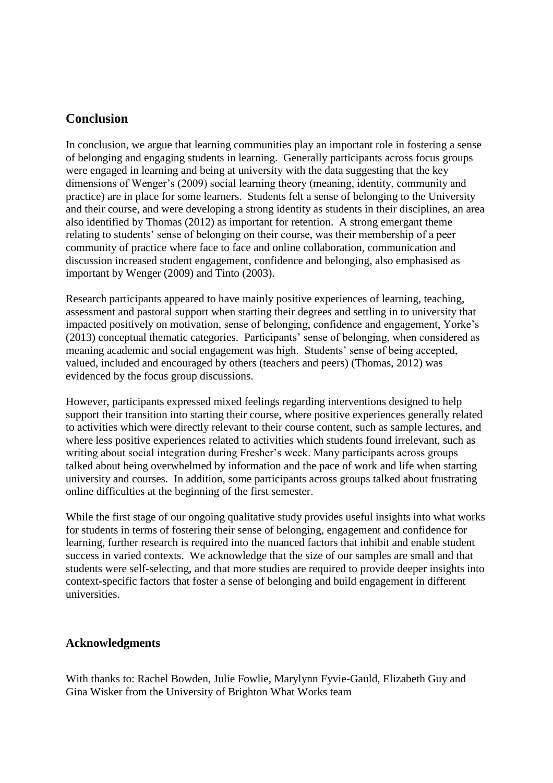### **Conclusion**

In conclusion, we argue that learning communities play an important role in fostering a sense of belonging and engaging students in learning. Generally participants across focus groups were engaged in learning and being at university with the data suggesting that the key dimensions of Wenger's (2009) social learning theory (meaning, identity, community and practice) are in place for some learners. Students felt a sense of belonging to the University and their course, and were developing a strong identity as students in their disciplines, an area also identified by Thomas (2012) as important for retention. A strong emergant theme relating to students' sense of belonging on their course, was their membership of a peer community of practice where face to face and online collaboration, communication and discussion increased student engagement, confidence and belonging, also emphasised as important by Wenger (2009) and Tinto (2003).

Research participants appeared to have mainly positive experiences of learning, teaching, assessment and pastoral support when starting their degrees and settling in to university that impacted positively on motivation, sense of belonging, confidence and engagement, Yorke's (2013) conceptual thematic categories. Participants' sense of belonging, when considered as meaning academic and social engagement was high. Students' sense of being accepted, valued, included and encouraged by others (teachers and peers) (Thomas, 2012) was evidenced by the focus group discussions.

However, participants expressed mixed feelings regarding interventions designed to help support their transition into starting their course, where positive experiences generally related to activities which were directly relevant to their course content, such as sample lectures, and where less positive experiences related to activities which students found irrelevant, such as writing about social integration during Fresher's week. Many participants across groups talked about being overwhelmed by information and the pace of work and life when starting university and courses. In addition, some participants across groups talked about frustrating online difficulties at the beginning of the first semester.

While the first stage of our ongoing qualitative study provides useful insights into what works for students in terms of fostering their sense of belonging, engagement and confidence for learning, further research is required into the nuanced factors that inhibit and enable student success in varied contexts. We acknowledge that the size of our samples are small and that students were self-selecting, and that more studies are required to provide deeper insights into context-specific factors that foster a sense of belonging and build engagement in different universities.

### **Acknowledgments**

With thanks to: Rachel Bowden, Julie Fowlie, Marylynn Fyvie-Gauld, Elizabeth Guy and Gina Wisker from the University of Brighton What Works team